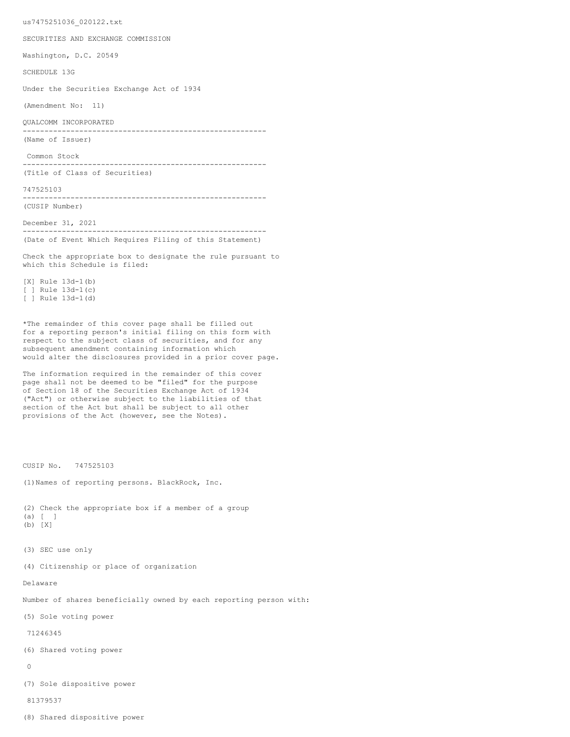us7475251036\_020122.txt

SECURITIES AND EXCHANGE COMMISSION

Washington, D.C. 20549

SCHEDULE 13G

Under the Securities Exchange Act of 1934

(Amendment No: 11)

QUALCOMM INCORPORATED

-------------------------------------------------------- (Name of Issuer)

Common Stock

-------------------------------------------------------- (Title of Class of Securities)

747525103 --------------------------------------------------------

(CUSIP Number)

December 31, 2021

-------------------------------------------------------- (Date of Event Which Requires Filing of this Statement)

Check the appropriate box to designate the rule pursuant to which this Schedule is filed:

[X] Rule 13d-1(b) [ ] Rule 13d-1(c) [ ] Rule 13d-1(d)

\*The remainder of this cover page shall be filled out for a reporting person's initial filing on this form with respect to the subject class of securities, and for any subsequent amendment containing information which would alter the disclosures provided in a prior cover page.

The information required in the remainder of this cover page shall not be deemed to be "filed" for the purpose of Section 18 of the Securities Exchange Act of 1934 ("Act") or otherwise subject to the liabilities of that section of the Act but shall be subject to all other provisions of the Act (however, see the Notes).

CUSIP No. 747525103

(1)Names of reporting persons. BlackRock, Inc.

(2) Check the appropriate box if a member of a group (a) [ ] (b) [X]

- 
- (3) SEC use only

(4) Citizenship or place of organization

Delaware

Number of shares beneficially owned by each reporting person with:

(5) Sole voting power

71246345

(6) Shared voting power

 $\Omega$ 

(7) Sole dispositive power

81379537

(8) Shared dispositive power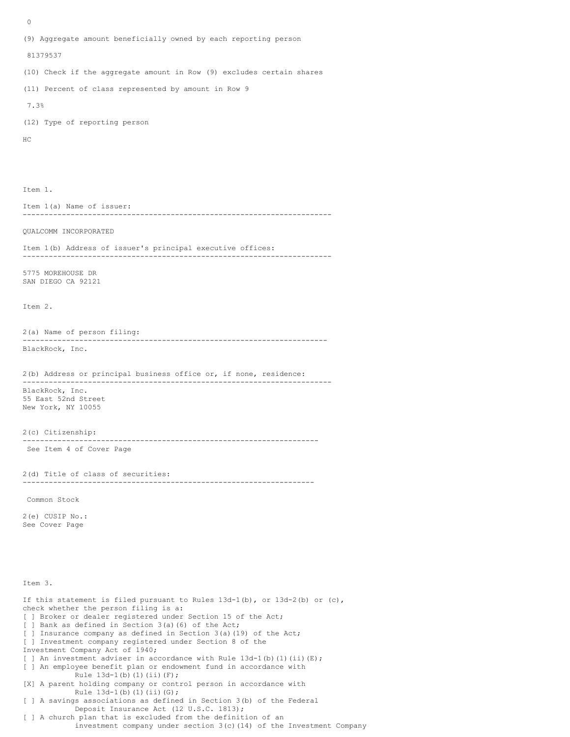0 (9) Aggregate amount beneficially owned by each reporting person 81379537 (10) Check if the aggregate amount in Row (9) excludes certain shares (11) Percent of class represented by amount in Row 9 7.3% (12) Type of reporting person HC Item 1. Item 1(a) Name of issuer: ----------------------------------------------------------------------- QUALCOMM INCORPORATED Item 1(b) Address of issuer's principal executive offices: ----------------------------------------------------------------------- 5775 MOREHOUSE DR SAN DIEGO CA 92121 Item 2. 2(a) Name of person filing: ---------------------------------------------------------------------- BlackRock, Inc. 2(b) Address or principal business office or, if none, residence: ----------------------------------------------------------------------- BlackRock, Inc. 55 East 52nd Street New York, NY 10055 2(c) Citizenship: -------------------------------------------------------------------- See Item 4 of Cover Page 2(d) Title of class of securities: ------------------------------------------------------------------- Common Stock 2(e) CUSIP No.: See Cover Page Item 3. If this statement is filed pursuant to Rules  $13d-1(b)$ , or  $13d-2(b)$  or  $(c)$ , check whether the person filing is a: [ ] Broker or dealer registered under Section 15 of the Act; [ ] Bank as defined in Section 3(a)(6) of the Act; [ ] Insurance company as defined in Section 3(a)(19) of the Act; [ ] Investment company registered under Section 8 of the Investment Company Act of 1940; [ ] An investment adviser in accordance with Rule  $13d-1$ (b)(1)(ii)(E); [ ] An employee benefit plan or endowment fund in accordance with Rule  $13d-1(b)$  (1)(ii)(F); [X] A parent holding company or control person in accordance with

Rule 13d-1(b)(1)(ii)(G); [ ] A savings associations as defined in Section 3(b) of the Federal Deposit Insurance Act (12 U.S.C. 1813); [ ] A church plan that is excluded from the definition of an

investment company under section 3(c)(14) of the Investment Company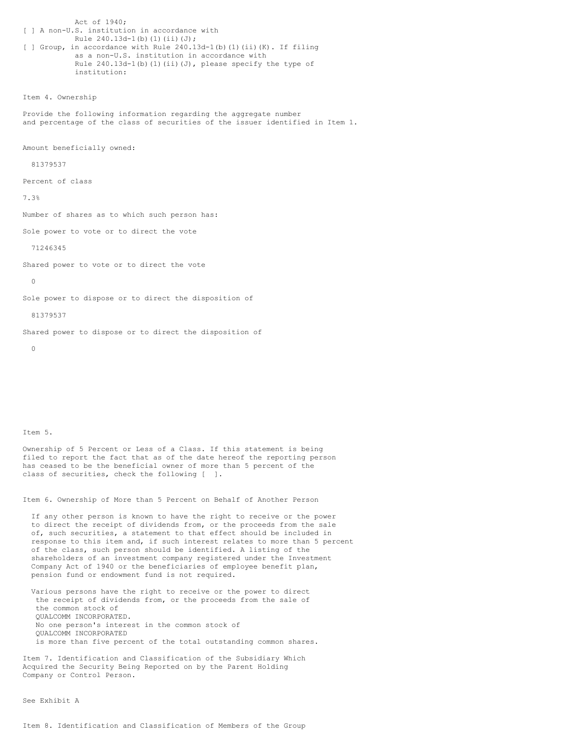Act of 1940; [ ] A non-U.S. institution in accordance with Rule 240.13d-1(b)(1)(ii)(J); [ ] Group, in accordance with Rule 240.13d-1(b)(1)(ii)(K). If filing as a non-U.S. institution in accordance with Rule  $240.13d-1$ (b)(1)(ii)(J), please specify the type of institution:

Item 4. Ownership

Provide the following information regarding the aggregate number and percentage of the class of securities of the issuer identified in Item 1.

Amount beneficially owned:

81379537

Percent of class

7.3%

Number of shares as to which such person has:

Sole power to vote or to direct the vote

71246345

Shared power to vote or to direct the vote

 $\cap$ 

Sole power to dispose or to direct the disposition of

81379537

Shared power to dispose or to direct the disposition of

 $\Omega$ 

## Item 5.

Ownership of 5 Percent or Less of a Class. If this statement is being filed to report the fact that as of the date hereof the reporting person has ceased to be the beneficial owner of more than 5 percent of the class of securities, check the following [ ].

Item 6. Ownership of More than 5 Percent on Behalf of Another Person

If any other person is known to have the right to receive or the power to direct the receipt of dividends from, or the proceeds from the sale of, such securities, a statement to that effect should be included in response to this item and, if such interest relates to more than 5 percent of the class, such person should be identified. A listing of the shareholders of an investment company registered under the Investment Company Act of 1940 or the beneficiaries of employee benefit plan, pension fund or endowment fund is not required.

Various persons have the right to receive or the power to direct the receipt of dividends from, or the proceeds from the sale of the common stock of QUALCOMM INCORPORATED. No one person's interest in the common stock of QUALCOMM INCORPORATED is more than five percent of the total outstanding common shares.

Item 7. Identification and Classification of the Subsidiary Which Acquired the Security Being Reported on by the Parent Holding Company or Control Person.

See Exhibit A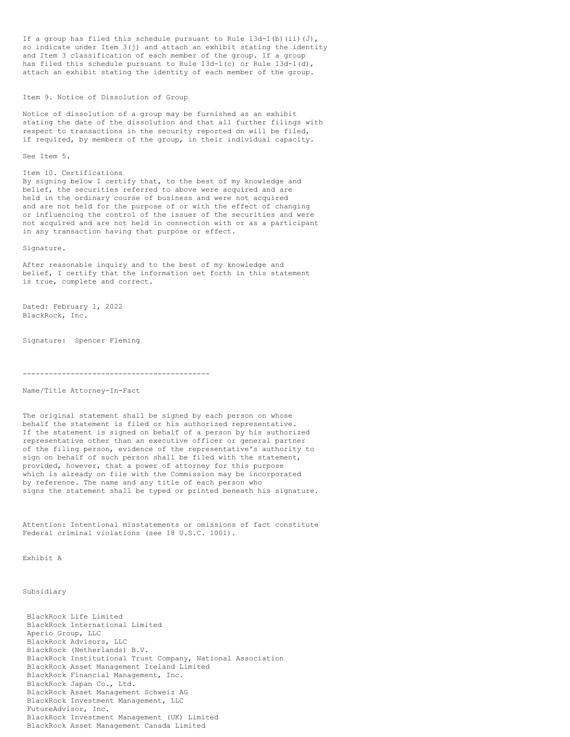If a group has filed this schedule pursuant to Rule  $13d-1$ (b)(ii)(J), so indicate under Item 3(j) and attach an exhibit stating the identity and Item 3 classification of each member of the group. If a group has filed this schedule pursuant to Rule  $13d-1(c)$  or Rule  $13d-1(d)$ , attach an exhibit stating the identity of each member of the group.

Item 9. Notice of Dissolution of Group

Notice of dissolution of a group may be furnished as an exhibit stating the date of the dissolution and that all further filings with respect to transactions in the security reported on will be filed, if required, by members of the group, in their individual capacity.

See Item 5.

## Item 10. Certifications

By signing below I certify that, to the best of my knowledge and belief, the securities referred to above were acquired and are held in the ordinary course of business and were not acquired and are not held for the purpose of or with the effect of changing or influencing the control of the issuer of the securities and were not acquired and are not held in connection with or as a participant in any transaction having that purpose or effect.

Signature.

After reasonable inquiry and to the best of my knowledge and belief, I certify that the information set forth in this statement is true, complete and correct.

Dated: February 1, 2022 BlackRock, Inc.

Signature: Spencer Fleming

-------------------------------------------

Name/Title Attorney-In-Fact

The original statement shall be signed by each person on whose behalf the statement is filed or his authorized representative. If the statement is signed on behalf of a person by his authorized representative other than an executive officer or general partner of the filing person, evidence of the representative's authority to sign on behalf of such person shall be filed with the statement, provided, however, that a power of attorney for this purpose which is already on file with the Commission may be incorporated by reference. The name and any title of each person who signs the statement shall be typed or printed beneath his signature.

Attention: Intentional misstatements or omissions of fact constitute Federal criminal violations (see 18 U.S.C. 1001).

Exhibit A

Subsidiary

BlackRock Life Limited BlackRock International Limited Aperio Group, LLC BlackRock Advisors, LLC BlackRock (Netherlands) B.V. BlackRock Institutional Trust Company, National Association BlackRock Asset Management Ireland Limited BlackRock Financial Management, Inc. BlackRock Japan Co., Ltd. BlackRock Asset Management Schweiz AG BlackRock Investment Management, LLC FutureAdvisor, Inc. BlackRock Investment Management (UK) Limited BlackRock Asset Management Canada Limited